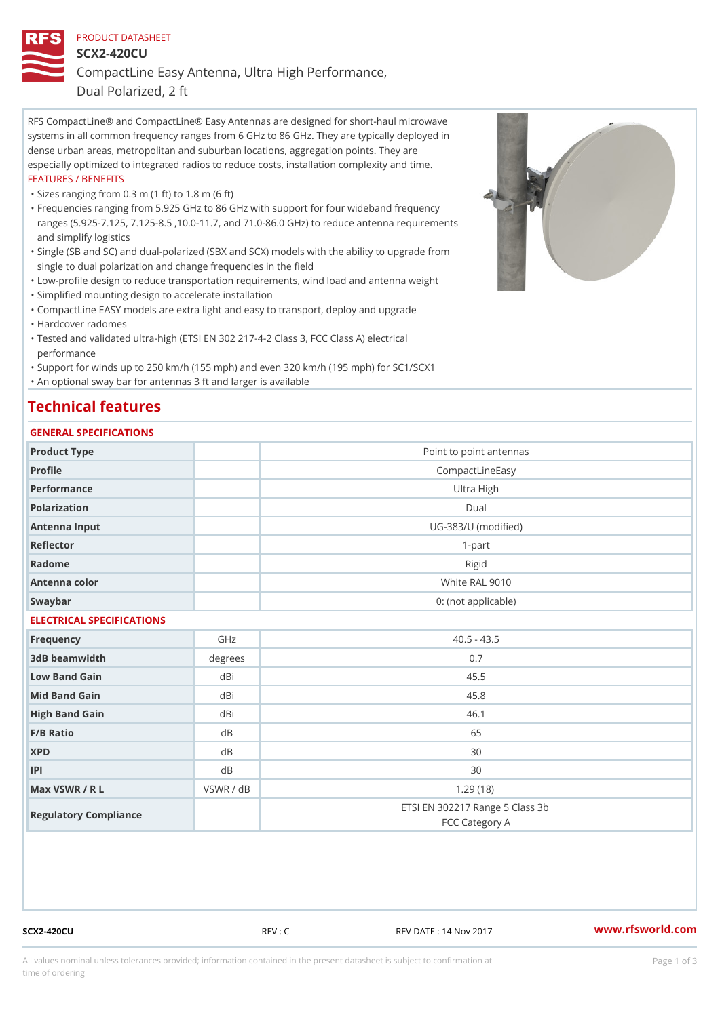# PRODUCT DATASHEET SCX2-420CU CompactLine Easy Antenna, Ultra High Performance,

Dual Polarized, 2 ft

RFS CompactLine® and CompactLine® Easy Antennas are designed for short-haul microwave systems in all common frequency ranges from 6 GHz to 86 GHz. They are typically deployed in dense urban areas, metropolitan and suburban locations, aggregation points. They are especially optimized to integrated radios to reduce costs, installation complexity and time. FEATURES / BENEFITS

"Sizes ranging from 0.3 m (1 ft) to 1.8 m (6 ft)

- Frequencies ranging from 5.925 GHz to 86 GHz with support for four wideband frequency " ranges (5.925-7.125, 7.125-8.5 ,10.0-11.7, and 71.0-86.0 GHz) to reduce antenna requirements and simplify logistics
- Single (SB and SC) and dual-polarized (SBX and SCX) models with the ability to upgrade from " single to dual polarization and change frequencies in the field
- "Low-profile design to reduce transportation requirements, wind load and antenna weight
- "Simplified mounting design to accelerate installation

 "CompactLine EASY models are extra light and easy to transport, deploy and upgrade "Hardcover radomes

Tested and validated ultra-high (ETSI EN 302 217-4-2 Class 3, FCC Class A) electrical " performance

 "Support for winds up to 250 km/h (155 mph) and even 320 km/h (195 mph) for SC1/SCX1 "An optional sway bar for antennas 3 ft and larger is available

## Technical features

#### GENERAL SPECIFICATIONS

| Product Type              |                | Point to point antennas                           |  |  |
|---------------------------|----------------|---------------------------------------------------|--|--|
| Profile                   |                | CompactLineEasy                                   |  |  |
| Performance               |                | Ultra High                                        |  |  |
| Polarization              |                | Dual                                              |  |  |
| Antenna Input             |                | UG-383/U (modified)                               |  |  |
| Reflector                 |                | $1 - p$ art                                       |  |  |
| Radome                    |                | Rigid                                             |  |  |
| Antenna color             |                | White RAL 9010                                    |  |  |
| Swaybar                   |                | 0: (not applicable)                               |  |  |
| ELECTRICAL SPECIFICATIONS |                |                                                   |  |  |
| Frequency                 | GHz            | $40.5 - 43.5$                                     |  |  |
| 3dB beamwidth             | degrees        | 0.7                                               |  |  |
| Low Band Gain             | $dB$ i         | 45.5                                              |  |  |
| Mid Band Gain             | dBi            | 45.8                                              |  |  |
| High Band Gain            | d B i          | 46.1                                              |  |  |
| F/B Ratio                 | d <sub>B</sub> | 65                                                |  |  |
| <b>XPD</b>                | d B            | 30                                                |  |  |
| P                         | d <sub>B</sub> | 30                                                |  |  |
| Max VSWR / R L            | VSWR / dB      | 1.29(18)                                          |  |  |
| Regulatory Compliance     |                | ETSI EN 302217 Range 5 Class 3b<br>FCC Category A |  |  |

SCX2-420CU REV : C REV DATE : 14 Nov 2017 [www.](https://www.rfsworld.com)rfsworld.com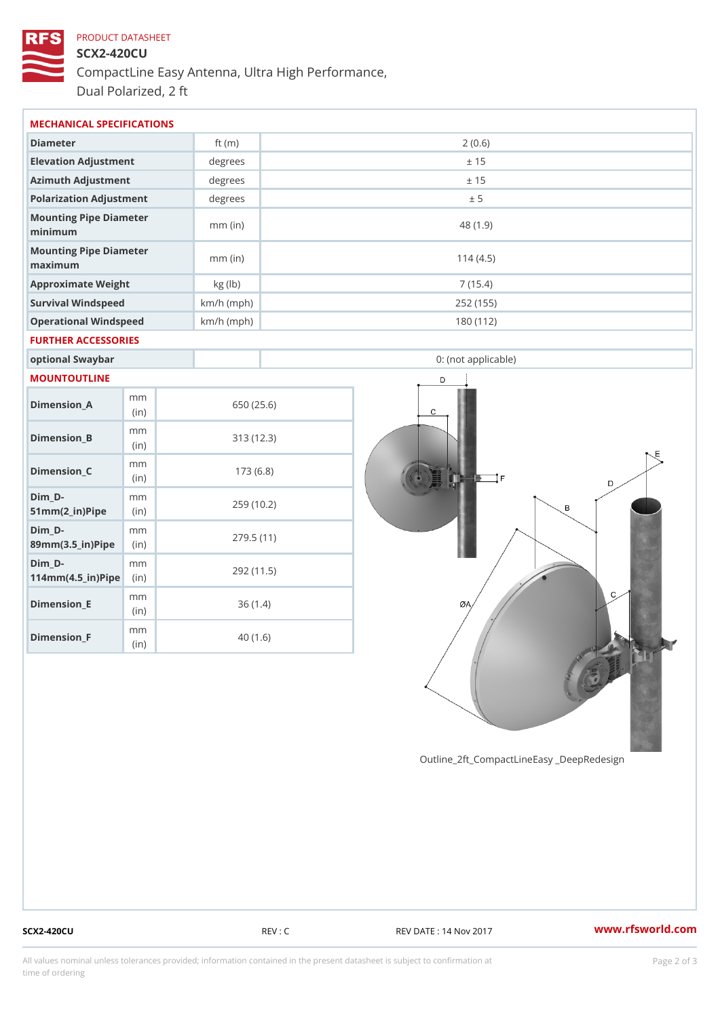# PRODUCT DATASHEET SCX2-420CU CompactLine Easy Antenna, Ultra High Performance, Dual Polarized, 2 ft

| MECHANICAL SPECIFICATIONS                          |              |              |            |                     |  |
|----------------------------------------------------|--------------|--------------|------------|---------------------|--|
| Diameter                                           |              | ft $(m)$     | 2(0.6)     |                     |  |
| Elevation Adjustment                               |              | degrees      | ± 15       |                     |  |
| Azimuth Adjustment                                 |              | degrees      | ± 15       |                     |  |
| Polarization Adjustment                            |              | degrees      | ± 5        |                     |  |
| Mounting Pipe Diameter<br>minimum                  |              | $mm$ (in)    | 48 (1.9)   |                     |  |
| Mounting Pipe Diameter<br>maximum                  |              | $mm$ (in)    | 114(4.5)   |                     |  |
| Approximate Weight                                 |              | kg (lb)      |            | 7(15.4)             |  |
| Survival Windspeed                                 |              | $km/h$ (mph) |            | 252 (155)           |  |
| Operational Windspeed                              |              | $km/h$ (mph) |            | 180 (112)           |  |
| FURTHER ACCESSORIES                                |              |              |            |                     |  |
| optional Swaybar                                   |              |              |            | 0: (not applicable) |  |
| MOUNTOUTLINE                                       |              |              |            |                     |  |
| $Dimension_A$                                      | m m<br>(in)  |              | 650 (25.6) |                     |  |
| $Dimension_B$                                      | m m<br>(i n) |              | 313 (12.3) |                     |  |
| $Dimension_C$                                      | m m<br>(in)  |              | 173(6.8)   |                     |  |
| $Dim_D - D -$<br>$51mm(2_in)Pip@in$                | m m          |              | 259 (10.2) |                     |  |
| $Dim_D - D -$<br>89mm (3.5_in) Pi(pine)            | m m          | 279.5(11)    |            |                     |  |
| $Dim_D - D -$<br>$114$ m m (4.5_ir) $R$ iip $\geq$ | m m          |              | 292 (11.5) |                     |  |
| $Dimension$ _ $E$                                  | m m<br>(in)  |              | 36(1.4)    |                     |  |
| Dimension_F                                        | m m<br>(in)  |              | 40(1.6)    |                     |  |

Outline\_2ft\_CompactLineEasy \_DeepRedesi

SCX2-420CU REV : C REV EXEV DATE : 14 Nov 2017 WWW.rfsworld.com